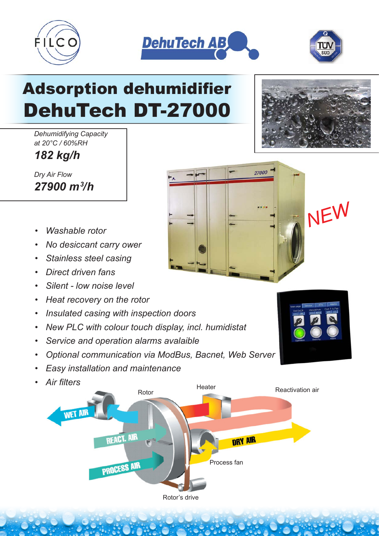





## Adsorption dehumidifier DehuTech DT-27000

*Dehumidifying Capacity at 20°C / 60%RH 182 kg/h*

*Dry Air Flow 27900 m3 /h*

- *Washable rotor*
- *No desiccant carry ower*
- *Stainless steel casing*
- *Direct driven fans*
- *Silent low noise level*
- *Heat recovery on the rotor*
- *Insulated casing with inspection doors*
- *New PLC with colour touch display, incl. humidistat*
- *Service and operation alarms avalaible*
- *Optional communication via ModBus, Bacnet, Web Server*
- *Easy installation and maintenance*
- *Air filters*